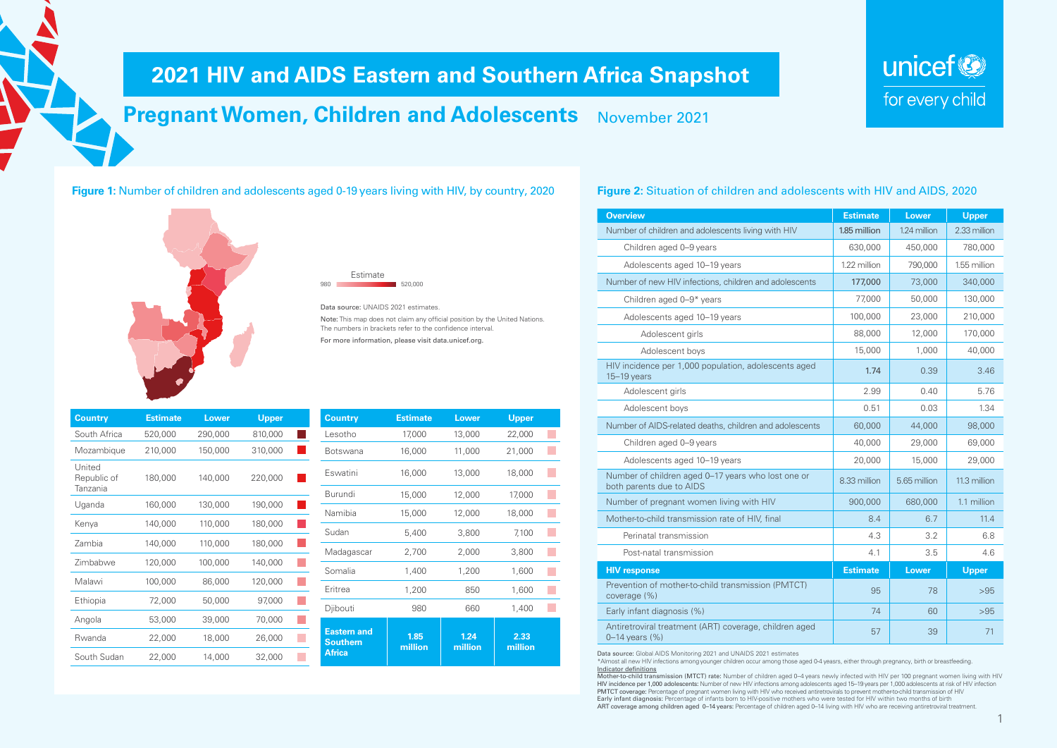

# **Pregnant Women, Children and Adolescents** November 2021

## **Figure 1:** Number of children and adolescents aged 0-19 years living with HIV, by country, 2020





#### Data source: UNAIDS 2021 estimates.

Note: This map does not claim any official position by the United Nations. The numbers in brackets refer to the confidence interval. For more information, please visit data.unicef.org.

**Country Estimate Lower Upper** South Africa 520,000 290,000 810,000 Mozambique 210,000 150,000 310,000 United 180,000 140,000 220,000 Republic of Tanzania Uganda 160,000 130,000 190,000 Kenya 140,000 110,000 180,000 Zambia 140,000 110,000 180,000 Zimbabwe 120,000 100,000 140,000  $\mathcal{L}_{\mathcal{A}}$ Malawi 100,000 86,000 120,000 **In** Ethiopia 72,000 50,000 97,000  $\mathcal{L}_{\mathcal{A}}$ Angola 53,000 39,000 70,000  $\mathcal{C}^{\mathcal{A}}$ Rwanda 22,000 18,000 26,000  $\mathcal{C}^{\mathcal{A}}$ South Sudan 22,000 14,000 32,000 **T** 

| Country                                                | <b>Estimate</b> | Lower           | Upper           |  |
|--------------------------------------------------------|-----------------|-----------------|-----------------|--|
| Lesotho                                                | 17,000          | 13,000          | 22,000          |  |
| Botswana                                               | 16,000          | 11,000          | 21,000          |  |
| Eswatini                                               | 16,000          | 13,000          | 18,000          |  |
| Burundi                                                | 15,000          | 12,000          | 17,000          |  |
| Namibia                                                | 15,000          | 12,000          | 18,000          |  |
| Sudan                                                  | 5,400           | 3,800           | 7,100           |  |
| Madagascar                                             | 2,700           | 2,000           | 3,800           |  |
| Somalia                                                | 1,400           | 1,200           | 1,600           |  |
| Eritrea                                                | 1,200           | 850             | 1,600           |  |
| Djibouti                                               | 980             | 660             | 1,400           |  |
| <b>Eastern and</b><br><b>Southern</b><br><b>Africa</b> | 1.85<br>million | 1.24<br>million | 2.33<br>million |  |

# **Figure 2:** Situation of children and adolescents with HIV and AIDS, 2020

unicef<sup>®</sup>

for every child

| <b>Overview</b>                                                                | <b>Estimate</b> | <b>Lower</b> | <b>Upper</b> |
|--------------------------------------------------------------------------------|-----------------|--------------|--------------|
|                                                                                |                 |              |              |
| Number of children and adolescents living with HIV                             | 1.85 million    | 1.24 million | 2.33 million |
| Children aged 0-9 years                                                        | 630,000         | 450,000      | 780,000      |
| Adolescents aged 10-19 years                                                   | 1.22 million    | 790,000      | 1.55 million |
| Number of new HIV infections, children and adolescents                         | 177,000         | 73,000       | 340,000      |
| Children aged 0-9* years                                                       | 77,000          | 50,000       | 130,000      |
| Adolescents aged 10-19 years                                                   | 100,000         | 23,000       | 210,000      |
| Adolescent girls                                                               | 88,000          | 12,000       | 170,000      |
| Adolescent boys                                                                | 15,000          | 1.000        | 40,000       |
| HIV incidence per 1,000 population, adolescents aged<br>$15-19$ years          | 1.74            | 0.39         | 3.46         |
| Adolescent girls                                                               | 2.99            | 0.40         | 5.76         |
| Adolescent boys                                                                | 0.51            | 0.03         | 1.34         |
| Number of AIDS-related deaths, children and adolescents                        | 60,000          | 44,000       | 98,000       |
| Children aged 0-9 years                                                        | 40,000          | 29,000       | 69,000       |
| Adolescents aged 10-19 years                                                   | 20,000          | 15,000       | 29,000       |
| Number of children aged 0-17 years who lost one or<br>both parents due to AIDS | 8.33 million    | 5.65 million | 11.3 million |
| Number of pregnant women living with HIV                                       | 900,000         | 680,000      | 1.1 million  |
| Mother-to-child transmission rate of HIV, final                                | 8.4             | 6.7          | 11.4         |
| Perinatal transmission                                                         | 4.3             | 3.2          | 6.8          |
| Post-natal transmission                                                        | 4.1             | 3.5          | 4.6          |
| <b>HIV response</b>                                                            | <b>Estimate</b> | <b>Lower</b> | <b>Upper</b> |
| Prevention of mother-to-child transmission (PMTCT)<br>coverage (%)             | 95              | 78           | >95          |
| Early infant diagnosis (%)                                                     | 74              | 60           | >95          |
| Antiretroviral treatment (ART) coverage, children aged<br>0-14 years (%)       | 57              | 39           | 71           |

Data source: Global AIDS Monitoring 2021 and UNAIDS 2021 estimates

\*Almost all new HIV infections among younger children occur among those aged 0-4 yeasrs, either through pregnancy, birth or breastfeeding. Indicator definitions

Mother-to-child transmission (MTCT) rate: Number of children aged 0–4 years newly infected with HIV per 100 pregnant women living with HIV HIV incidence per 1,000 adolescents: Number of new HIV infections among adolescents aged 15–19 years per 1,000 adolescents at risk of HIV infection PMTCT coverage: Percentage of pregnant women living with HIV who received antiretrovirals to prevent mother-to-child transmission of HIV Early infant diagnosis: Percentage of infants born to HIV-positive mothers who were tested for HIV within two months of birth ART coverage among children aged 0-14 years: Percentage of children aged 0-14 living with HIV who are receiving antiretroviral treatment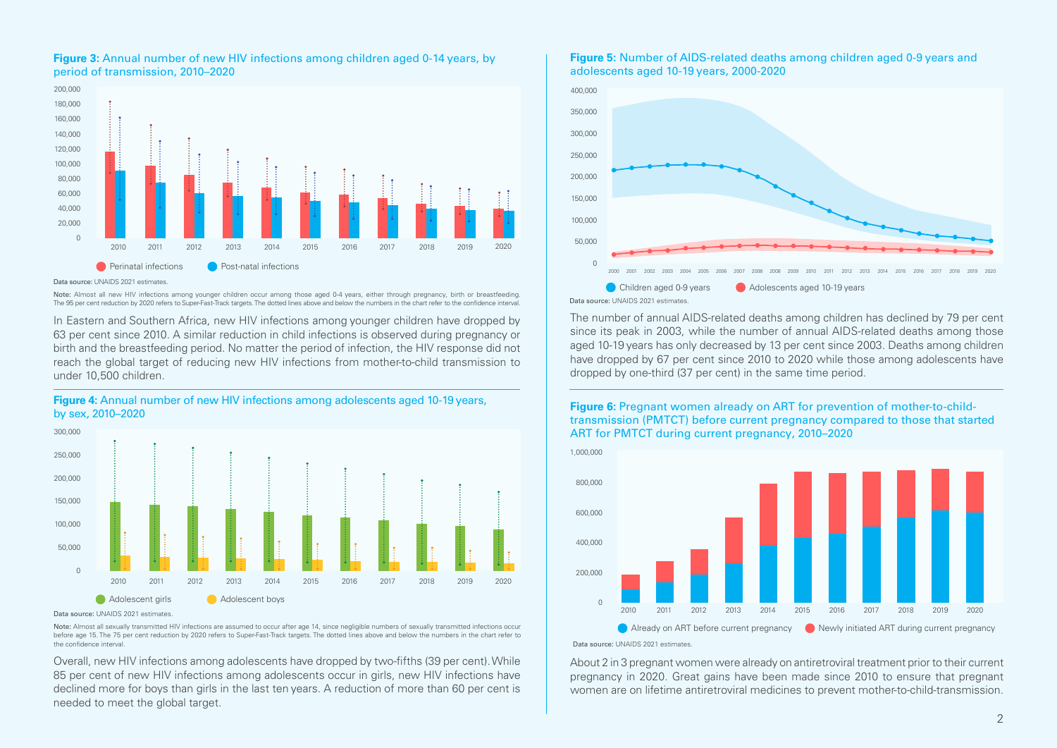

# **Figure 3:** Annual number of new HIV infections among children aged 0-14 years, by period of transmission, 2010–2020

#### Data source: UNAIDS 2021 estimates.

Note: Almost all new HIV infections among younger children occur among those aged 0-4 years, either through pregnancy, birth or breastfeeding. The 95 per cent reduction by 2020 refers to Super-Fast-Track targets. The dotted lines above and below the numbers in the chart refer to the confidence interval

In Eastern and Southern Africa, new HIV infections among younger children have dropped by 63 per cent since 2010. A similar reduction in child infections is observed during pregnancy or birth and the breastfeeding period. No matter the period of infection, the HIV response did not reach the global target of reducing new HIV infections from mother-to-child transmission to under 10,500 children.



### **Figure 4:** Annual number of new HIV infections among adolescents aged 10-19 years, by sex, 2010–2020

Data source: UNAIDS 2021 estimates.

Note: Almost all sexually transmitted HIV infections are assumed to occur after age 14, since negligible numbers of sexually transmitted infections occur before age 15. The 75 per cent reduction by 2020 refers to Super-Fast-Track targets. The dotted lines above and below the numbers in the chart refer to the confidence interval.

Overall, new HIV infections among adolescents have dropped by two-fifths (39 per cent). While 85 per cent of new HIV infections among adolescents occur in girls, new HIV infections have declined more for boys than girls in the last ten years. A reduction of more than 60 per cent is needed to meet the global target.

# **Figure 5:** Number of AIDS-related deaths among children aged 0-9 years and adolescents aged 10-19 years, 2000-2020



The number of annual AIDS-related deaths among children has declined by 79 per cent since its peak in 2003, while the number of annual AIDS-related deaths among those aged 10-19 years has only decreased by 13 per cent since 2003. Deaths among children have dropped by 67 per cent since 2010 to 2020 while those among adolescents have dropped by one-third (37 per cent) in the same time period.

# **Figure 6:** Pregnant women already on ART for prevention of mother-to-childtransmission (PMTCT) before current pregnancy compared to those that started ART for PMTCT during current pregnancy, 2010–2020



Data source: UNAIDS 2021 estimates.

About 2 in 3 pregnant women were already on antiretroviral treatment prior to their current pregnancy in 2020. Great gains have been made since 2010 to ensure that pregnant women are on lifetime antiretroviral medicines to prevent mother-to-child-transmission.